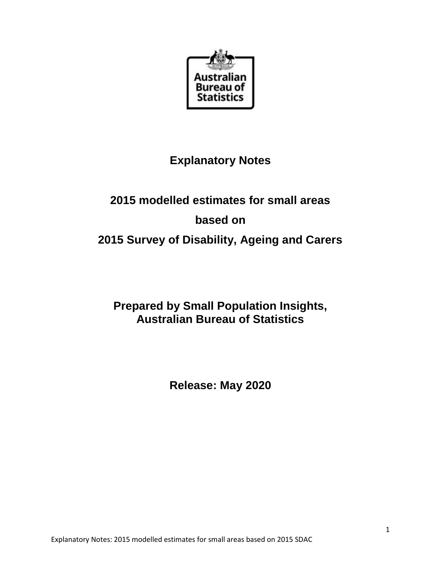

# **Explanatory Notes**

# **2015 modelled estimates for small areas based on 2015 Survey of Disability, Ageing and Carers**

# **Prepared by Small Population Insights, Australian Bureau of Statistics**

**Release: May 2020**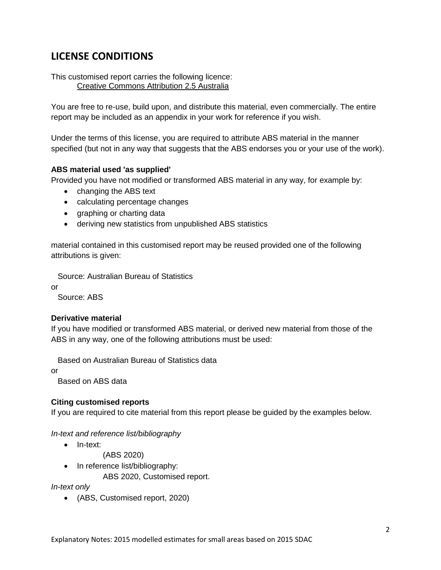### **LICENSE CONDITIONS**

This customised report carries the following licence: [Creative Commons Attribution 2.5 Australia](http://creativecommons.org/licenses/by/2.5/au/)

You are free to re-use, build upon, and distribute this material, even commercially. The entire report may be included as an appendix in your work for reference if you wish.

Under the terms of this license, you are required to attribute ABS material in the manner specified (but not in any way that suggests that the ABS endorses you or your use of the work).

#### **ABS material used 'as supplied'**

Provided you have not modified or transformed ABS material in any way, for example by:

- changing the ABS text
- calculating percentage changes
- graphing or charting data
- deriving new statistics from unpublished ABS statistics

material contained in this customised report may be reused provided one of the following attributions is given:

Source: Australian Bureau of Statistics

or

Source: ABS

#### **Derivative material**

If you have modified or transformed ABS material, or derived new material from those of the ABS in any way, one of the following attributions must be used:

Based on Australian Bureau of Statistics data

or

Based on ABS data

#### **Citing customised reports**

If you are required to cite material from this report please be guided by the examples below.

#### *In-text and reference list/bibliography*

• In-text:

(ABS 2020)

- In reference list/bibliography:
	- ABS 2020, Customised report.

*In-text only*

(ABS, Customised report, 2020)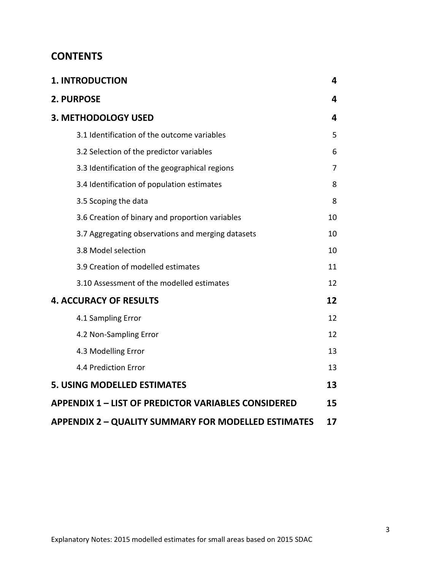### **CONTENTS**

| <b>1. INTRODUCTION</b>                                     | 4  |
|------------------------------------------------------------|----|
| 2. PURPOSE                                                 | 4  |
| 3. METHODOLOGY USED                                        | 4  |
| 3.1 Identification of the outcome variables                | 5  |
| 3.2 Selection of the predictor variables                   | 6  |
| 3.3 Identification of the geographical regions             | 7  |
| 3.4 Identification of population estimates                 | 8  |
| 3.5 Scoping the data                                       | 8  |
| 3.6 Creation of binary and proportion variables            | 10 |
| 3.7 Aggregating observations and merging datasets          | 10 |
| 3.8 Model selection                                        | 10 |
| 3.9 Creation of modelled estimates                         | 11 |
| 3.10 Assessment of the modelled estimates                  | 12 |
| <b>4. ACCURACY OF RESULTS</b>                              | 12 |
| 4.1 Sampling Error                                         | 12 |
| 4.2 Non-Sampling Error                                     | 12 |
| 4.3 Modelling Error                                        | 13 |
| 4.4 Prediction Error                                       | 13 |
| <b>5. USING MODELLED ESTIMATES</b>                         | 13 |
| <b>APPENDIX 1 - LIST OF PREDICTOR VARIABLES CONSIDERED</b> | 15 |
| <b>APPENDIX 2 - QUALITY SUMMARY FOR MODELLED ESTIMATES</b> | 17 |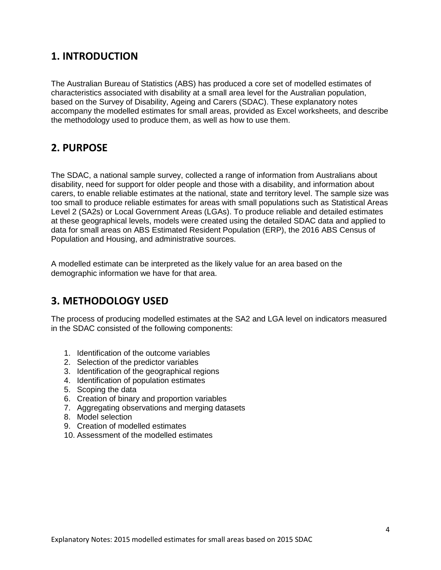### <span id="page-3-0"></span>**1. INTRODUCTION**

The Australian Bureau of Statistics (ABS) has produced a core set of modelled estimates of characteristics associated with disability at a small area level for the Australian population, based on the Survey of Disability, Ageing and Carers (SDAC). These explanatory notes accompany the modelled estimates for small areas, provided as Excel worksheets, and describe the methodology used to produce them, as well as how to use them.

### <span id="page-3-1"></span>**2. PURPOSE**

The SDAC, a national sample survey, collected a range of information from Australians about disability, need for support for older people and those with a disability, and information about carers, to enable reliable estimates at the national, state and territory level. The sample size was too small to produce reliable estimates for areas with small populations such as Statistical Areas Level 2 (SA2s) or Local Government Areas (LGAs). To produce reliable and detailed estimates at these geographical levels, models were created using the detailed SDAC data and applied to data for small areas on ABS Estimated Resident Population (ERP), the 2016 ABS Census of Population and Housing, and administrative sources.

A modelled estimate can be interpreted as the likely value for an area based on the demographic information we have for that area.

### <span id="page-3-2"></span>**3. METHODOLOGY USED**

The process of producing modelled estimates at the SA2 and LGA level on indicators measured in the SDAC consisted of the following components:

- 1. Identification of the outcome variables
- 2. Selection of the predictor variables
- 3. Identification of the geographical regions
- 4. Identification of population estimates
- 5. Scoping the data
- 6. Creation of binary and proportion variables
- 7. Aggregating observations and merging datasets
- 8. Model selection
- 9. Creation of modelled estimates
- 10. Assessment of the modelled estimates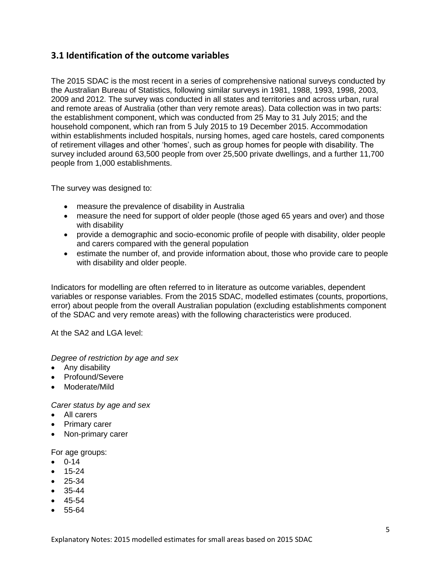#### <span id="page-4-0"></span>**3.1 Identification of the outcome variables**

The 2015 SDAC is the most recent in a series of comprehensive national surveys conducted by the Australian Bureau of Statistics, following similar surveys in 1981, 1988, 1993, 1998, 2003, 2009 and 2012. The survey was conducted in all states and territories and across urban, rural and remote areas of Australia (other than very remote areas). Data collection was in two parts: the establishment component, which was conducted from 25 May to 31 July 2015; and the household component, which ran from 5 July 2015 to 19 December 2015. Accommodation within establishments included hospitals, nursing homes, aged care hostels, cared components of retirement villages and other 'homes', such as group homes for people with disability. The survey included around 63,500 people from over 25,500 private dwellings, and a further 11,700 people from 1,000 establishments.

The survey was designed to:

- measure the prevalence of disability in Australia
- measure the need for support of older people (those aged 65 years and over) and those with disability
- provide a demographic and socio-economic profile of people with disability, older people and carers compared with the general population
- estimate the number of, and provide information about, those who provide care to people with disability and older people.

Indicators for modelling are often referred to in literature as outcome variables, dependent variables or response variables. From the 2015 SDAC, modelled estimates (counts, proportions, error) about people from the overall Australian population (excluding establishments component of the SDAC and very remote areas) with the following characteristics were produced.

At the SA2 and LGA level:

*Degree of restriction by age and sex*

- Any disability
- Profound/Severe
- Moderate/Mild

*Carer status by age and sex*

- All carers
- Primary carer
- Non-primary carer

For age groups:

- $0 14$
- 15-24
- $25 34$
- 35-44
- 45-54
- 55-64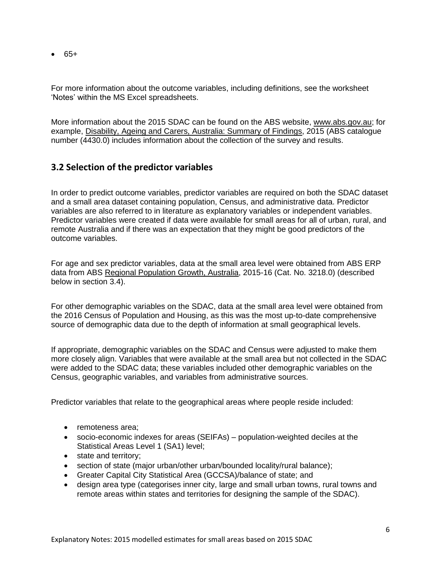$6.65+$ 

For more information about the outcome variables, including definitions, see the worksheet 'Notes' within the MS Excel spreadsheets.

More information about the 2015 SDAC can be found on the ABS website, [www.abs.gov.au;](https://www.abs.gov.au/) for example, [Disability, Ageing and Carers, Australia: Summary of Findings,](https://www.abs.gov.au/ausstats/abs@.nsf/PrimaryMainFeatures/4430.0?OpenDocument) 2015 (ABS catalogue number (4430.0) includes information about the collection of the survey and results.

#### <span id="page-5-0"></span>**3.2 Selection of the predictor variables**

In order to predict outcome variables, predictor variables are required on both the SDAC dataset and a small area dataset containing population, Census, and administrative data. Predictor variables are also referred to in literature as explanatory variables or independent variables. Predictor variables were created if data were available for small areas for all of urban, rural, and remote Australia and if there was an expectation that they might be good predictors of the outcome variables.

For age and sex predictor variables, data at the small area level were obtained from ABS ERP data from ABS [Regional Population Growth, Australia,](https://www.abs.gov.au/AUSSTATS/abs@.nsf/allprimarymainfeatures/89B1791E6123CB86CA25816A001761EE?opendocument) 2015-16 (Cat. No. 3218.0) (described below in section 3.4).

For other demographic variables on the SDAC, data at the small area level were obtained from the 2016 Census of Population and Housing, as this was the most up-to-date comprehensive source of demographic data due to the depth of information at small geographical levels.

If appropriate, demographic variables on the SDAC and Census were adjusted to make them more closely align. Variables that were available at the small area but not collected in the SDAC were added to the SDAC data; these variables included other demographic variables on the Census, geographic variables, and variables from administrative sources.

Predictor variables that relate to the geographical areas where people reside included:

- remoteness area:
- socio-economic indexes for areas (SEIFAs) population-weighted deciles at the Statistical Areas Level 1 (SA1) level;
- state and territory;
- section of state (major urban/other urban/bounded locality/rural balance);
- Greater Capital City Statistical Area (GCCSA)/balance of state; and
- design area type (categorises inner city, large and small urban towns, rural towns and remote areas within states and territories for designing the sample of the SDAC).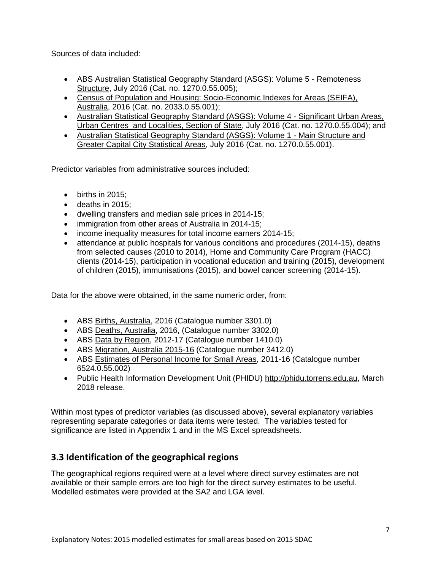Sources of data included:

- ABS [Australian Statistical Geography Standard \(ASGS\): Volume 5 -](https://www.abs.gov.au/AUSSTATS/abs@.nsf/ProductsbyCatalogue/D964E42C5DF5B6D4CA257B03000D7ECB?OpenDocument) Remoteness [Structure,](https://www.abs.gov.au/AUSSTATS/abs@.nsf/ProductsbyCatalogue/D964E42C5DF5B6D4CA257B03000D7ECB?OpenDocument) July 2016 (Cat. no. 1270.0.55.005);
- [Census of Population and Housing: Socio-Economic Indexes for Areas \(SEIFA\),](https://www.abs.gov.au/ausstats/abs@.nsf/mf/2033.0.55.001)  [Australia,](https://www.abs.gov.au/ausstats/abs@.nsf/mf/2033.0.55.001) 2016 (Cat. no. 2033.0.55.001);
- [Australian Statistical Geography Standard \(ASGS\): Volume 4 -](https://search.abs.gov.au/s/redirect?rank=1&collection=abs&url=http%3A%2F%2Fwww.abs.gov.au%2Fausstats%2Fabs%40.nsf%2Fmf%2F1270.0.55.004&index_url=http%3A%2F%2Fwww.abs.gov.au%2Fausstats%2Fabs%40.nsf%2Fmf%2F1270.0.55.004&auth=ra1IqqhIMDdZ28h%2FTTFezA&query=1270.0.55.004&profile=_default_preview) Significant Urban Areas, [Urban Centres and Localities, Section of State,](https://search.abs.gov.au/s/redirect?rank=1&collection=abs&url=http%3A%2F%2Fwww.abs.gov.au%2Fausstats%2Fabs%40.nsf%2Fmf%2F1270.0.55.004&index_url=http%3A%2F%2Fwww.abs.gov.au%2Fausstats%2Fabs%40.nsf%2Fmf%2F1270.0.55.004&auth=ra1IqqhIMDdZ28h%2FTTFezA&query=1270.0.55.004&profile=_default_preview) July 2016 (Cat. no. 1270.0.55.004); and
- [Australian Statistical Geography Standard \(ASGS\): Volume 1 -](https://www.abs.gov.au/AUSSTATS/abs@.nsf/productsbyCatalogue/871A7FF33DF471FBCA257801000DCD5F?OpenDocument) Main Structure and [Greater Capital City Statistical Areas,](https://www.abs.gov.au/AUSSTATS/abs@.nsf/productsbyCatalogue/871A7FF33DF471FBCA257801000DCD5F?OpenDocument) July 2016 (Cat. no. 1270.0.55.001).

Predictor variables from administrative sources included:

- $\bullet$  births in 2015:
- $\bullet$  deaths in 2015:
- dwelling transfers and median sale prices in 2014-15;
- immigration from other areas of Australia in 2014-15;
- income inequality measures for total income earners 2014-15;
- attendance at public hospitals for various conditions and procedures (2014-15), deaths from selected causes (2010 to 2014), Home and Community Care Program (HACC) clients (2014-15), participation in vocational education and training (2015), development of children (2015), immunisations (2015), and bowel cancer screening (2014-15).

Data for the above were obtained, in the same numeric order, from:

- ABS [Births, Australia,](https://www.abs.gov.au/AUSSTATS/abs@.nsf/ProductsbyCatalogue/F41B99AB234B2074CA25792F00161838?OpenDocument) 2016 (Catalogue number 3301.0)
- ABS [Deaths, Australia,](https://www.abs.gov.au/AUSSTATS/abs@.nsf/ProductsbyCatalogue/C67A858BA00CB846CA2568A9001393C6?OpenDocument) 2016, (Catalogue number 3302.0)
- ABS Data by Region, 2012-17 (Catalogue number 1410.0)
- ABS [Migration, Australia](https://www.abs.gov.au/AUSSTATS/abs@.nsf/allprimarymainfeatures/66CDB63F615CF0A2CA257C4400190026?opendocument) 2015-16 (Catalogue number 3412.0)
- ABS [Estimates of Personal Income for Small Areas,](https://www.abs.gov.au/AUSSTATS/abs@.nsf/productsbyCatalogue/974D8F81A12F336BCA257521000D8620?OpenDocument) 2011-16 (Catalogue number 6524.0.55.002)
- Public Health Information Development Unit (PHIDU) [http://phidu.torrens.edu.au,](http://phidu.torrens.edu.au/) March 2018 release.

Within most types of predictor variables (as discussed above), several explanatory variables representing separate categories or data items were tested. The variables tested for significance are listed in Appendix 1 and in the MS Excel spreadsheets.

#### <span id="page-6-0"></span>**3.3 Identification of the geographical regions**

The geographical regions required were at a level where direct survey estimates are not available or their sample errors are too high for the direct survey estimates to be useful. Modelled estimates were provided at the SA2 and LGA level.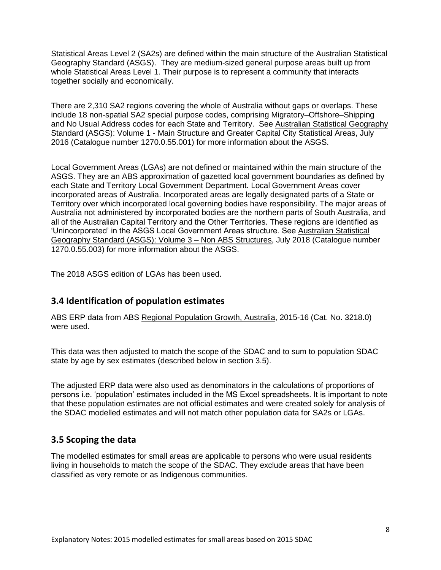Statistical Areas Level 2 (SA2s) are defined within the main structure of the Australian Statistical Geography Standard (ASGS). They are medium-sized general purpose areas built up from whole Statistical Areas Level 1. Their purpose is to represent a community that interacts together socially and economically.

There are 2,310 SA2 regions covering the whole of Australia without gaps or overlaps. These include 18 non-spatial SA2 special purpose codes, comprising Migratory–Offshore–Shipping and No Usual Address codes for each State and Territory. See [Australian Statistical Geography](https://www.abs.gov.au/ausstats/abs@.nsf/Lookup/by%20Subject/1270.0.55.001~July%202016~Main%20Features~ABS%20structures~10007)  Standard (ASGS): Volume 1 - [Main Structure and Greater Capital City Statistical Areas,](https://www.abs.gov.au/ausstats/abs@.nsf/Lookup/by%20Subject/1270.0.55.001~July%202016~Main%20Features~ABS%20structures~10007) July 2016 (Catalogue number 1270.0.55.001) for more information about the ASGS.

Local Government Areas (LGAs) are not defined or maintained within the main structure of the ASGS. They are an ABS approximation of gazetted local government boundaries as defined by each State and Territory Local Government Department. Local Government Areas cover incorporated areas of Australia. Incorporated areas are legally designated parts of a State or Territory over which incorporated local governing bodies have responsibility. The major areas of Australia not administered by incorporated bodies are the northern parts of South Australia, and all of the Australian Capital Territory and the Other Territories. These regions are identified as 'Unincorporated' in the ASGS Local Government Areas structure. See [Australian Statistical](https://www.abs.gov.au/ausstats/abs@.nsf/PrimaryMainFeatures/1270.0.55.003?OpenDocument)  [Geography Standard \(ASGS\): Volume 3 –](https://www.abs.gov.au/ausstats/abs@.nsf/PrimaryMainFeatures/1270.0.55.003?OpenDocument) Non ABS Structures, July 2018 (Catalogue number 1270.0.55.003) for more information about the ASGS.

The 2018 ASGS edition of LGAs has been used.

#### <span id="page-7-0"></span>**3.4 Identification of population estimates**

ABS ERP data from ABS [Regional Population Growth, Australia,](https://www.abs.gov.au/AUSSTATS/abs@.nsf/allprimarymainfeatures/89B1791E6123CB86CA25816A001761EE?opendocument) 2015-16 (Cat. No. 3218.0) were used.

This data was then adjusted to match the scope of the SDAC and to sum to population SDAC state by age by sex estimates (described below in section 3.5).

The adjusted ERP data were also used as denominators in the calculations of proportions of persons i.e. 'population' estimates included in the MS Excel spreadsheets. It is important to note that these population estimates are not official estimates and were created solely for analysis of the SDAC modelled estimates and will not match other population data for SA2s or LGAs.

#### <span id="page-7-1"></span>**3.5 Scoping the data**

The modelled estimates for small areas are applicable to persons who were usual residents living in households to match the scope of the SDAC. They exclude areas that have been classified as very remote or as Indigenous communities.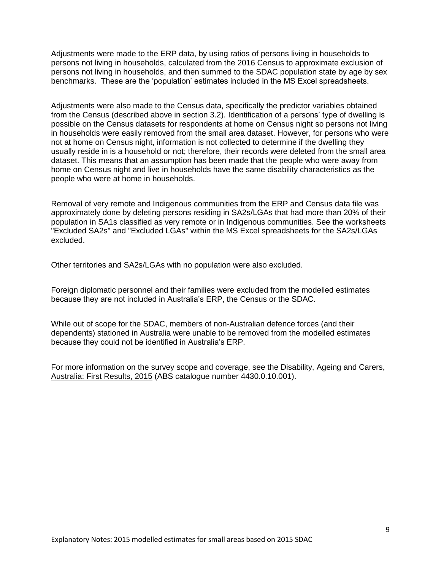Adjustments were made to the ERP data, by using ratios of persons living in households to persons not living in households, calculated from the 2016 Census to approximate exclusion of persons not living in households, and then summed to the SDAC population state by age by sex benchmarks. These are the 'population' estimates included in the MS Excel spreadsheets.

Adjustments were also made to the Census data, specifically the predictor variables obtained from the Census (described above in section 3.2). Identification of a persons' type of dwelling is possible on the Census datasets for respondents at home on Census night so persons not living in households were easily removed from the small area dataset. However, for persons who were not at home on Census night, information is not collected to determine if the dwelling they usually reside in is a household or not; therefore, their records were deleted from the small area dataset. This means that an assumption has been made that the people who were away from home on Census night and live in households have the same disability characteristics as the people who were at home in households.

Removal of very remote and Indigenous communities from the ERP and Census data file was approximately done by deleting persons residing in SA2s/LGAs that had more than 20% of their population in SA1s classified as very remote or in Indigenous communities. See the worksheets "Excluded SA2s" and "Excluded LGAs" within the MS Excel spreadsheets for the SA2s/LGAs excluded.

Other territories and SA2s/LGAs with no population were also excluded.

Foreign diplomatic personnel and their families were excluded from the modelled estimates because they are not included in Australia's ERP, the Census or the SDAC.

While out of scope for the SDAC, members of non-Australian defence forces (and their dependents) stationed in Australia were unable to be removed from the modelled estimates because they could not be identified in Australia's ERP.

<span id="page-8-0"></span>For more information on the survey scope and coverage, see the Disability, Ageing and Carers, [Australia: First Results, 2015](https://www.abs.gov.au/AUSSTATS/abs@.nsf/Lookup/4430.0.10.001Explanatory%20Notes502015?OpenDocument) (ABS catalogue number 4430.0.10.001).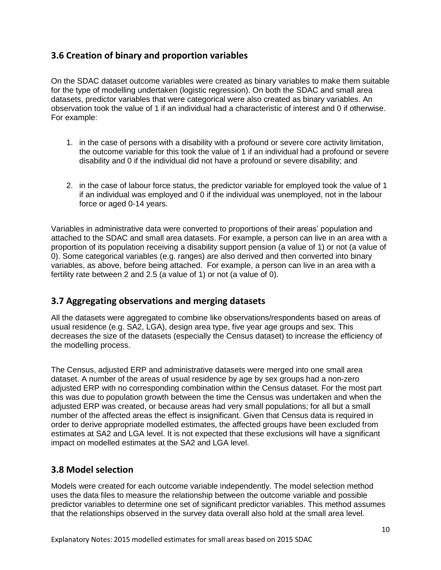#### **3.6 Creation of binary and proportion variables**

On the SDAC dataset outcome variables were created as binary variables to make them suitable for the type of modelling undertaken (logistic regression). On both the SDAC and small area datasets, predictor variables that were categorical were also created as binary variables. An observation took the value of 1 if an individual had a characteristic of interest and 0 if otherwise. For example:

- 1. in the case of persons with a disability with a profound or severe core activity limitation, the outcome variable for this took the value of 1 if an individual had a profound or severe disability and 0 if the individual did not have a profound or severe disability; and
- 2. in the case of labour force status, the predictor variable for employed took the value of 1 if an individual was employed and 0 if the individual was unemployed, not in the labour force or aged 0-14 years.

Variables in administrative data were converted to proportions of their areas' population and attached to the SDAC and small area datasets. For example, a person can live in an area with a proportion of its population receiving a disability support pension (a value of 1) or not (a value of 0). Some categorical variables (e.g. ranges) are also derived and then converted into binary variables, as above, before being attached. For example, a person can live in an area with a fertility rate between 2 and 2.5 (a value of 1) or not (a value of 0).

#### <span id="page-9-0"></span>**3.7 Aggregating observations and merging datasets**

All the datasets were aggregated to combine like observations/respondents based on areas of usual residence (e.g. SA2, LGA), design area type, five year age groups and sex. This decreases the size of the datasets (especially the Census dataset) to increase the efficiency of the modelling process.

The Census, adjusted ERP and administrative datasets were merged into one small area dataset. A number of the areas of usual residence by age by sex groups had a non-zero adjusted ERP with no corresponding combination within the Census dataset. For the most part this was due to population growth between the time the Census was undertaken and when the adjusted ERP was created, or because areas had very small populations; for all but a small number of the affected areas the effect is insignificant. Given that Census data is required in order to derive appropriate modelled estimates, the affected groups have been excluded from estimates at SA2 and LGA level. It is not expected that these exclusions will have a significant impact on modelled estimates at the SA2 and LGA level.

#### <span id="page-9-1"></span>**3.8 Model selection**

Models were created for each outcome variable independently. The model selection method uses the data files to measure the relationship between the outcome variable and possible predictor variables to determine one set of significant predictor variables. This method assumes that the relationships observed in the survey data overall also hold at the small area level.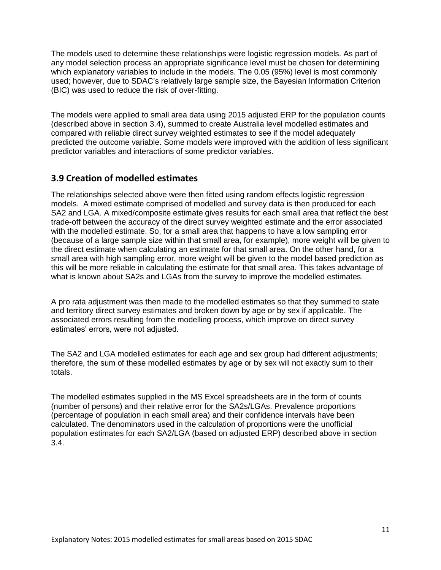The models used to determine these relationships were logistic regression models. As part of any model selection process an appropriate significance level must be chosen for determining which explanatory variables to include in the models. The 0.05 (95%) level is most commonly used; however, due to SDAC's relatively large sample size, the Bayesian Information Criterion (BIC) was used to reduce the risk of over-fitting.

The models were applied to small area data using 2015 adjusted ERP for the population counts (described above in section 3.4), summed to create Australia level modelled estimates and compared with reliable direct survey weighted estimates to see if the model adequately predicted the outcome variable. Some models were improved with the addition of less significant predictor variables and interactions of some predictor variables.

#### <span id="page-10-0"></span>**3.9 Creation of modelled estimates**

The relationships selected above were then fitted using random effects logistic regression models. A mixed estimate comprised of modelled and survey data is then produced for each SA2 and LGA. A mixed/composite estimate gives results for each small area that reflect the best trade-off between the accuracy of the direct survey weighted estimate and the error associated with the modelled estimate. So, for a small area that happens to have a low sampling error (because of a large sample size within that small area, for example), more weight will be given to the direct estimate when calculating an estimate for that small area. On the other hand, for a small area with high sampling error, more weight will be given to the model based prediction as this will be more reliable in calculating the estimate for that small area. This takes advantage of what is known about SA2s and LGAs from the survey to improve the modelled estimates.

A pro rata adjustment was then made to the modelled estimates so that they summed to state and territory direct survey estimates and broken down by age or by sex if applicable. The associated errors resulting from the modelling process, which improve on direct survey estimates' errors, were not adjusted.

The SA2 and LGA modelled estimates for each age and sex group had different adjustments; therefore, the sum of these modelled estimates by age or by sex will not exactly sum to their totals.

<span id="page-10-1"></span>The modelled estimates supplied in the MS Excel spreadsheets are in the form of counts (number of persons) and their relative error for the SA2s/LGAs. Prevalence proportions (percentage of population in each small area) and their confidence intervals have been calculated. The denominators used in the calculation of proportions were the unofficial population estimates for each SA2/LGA (based on adjusted ERP) described above in section 3.4.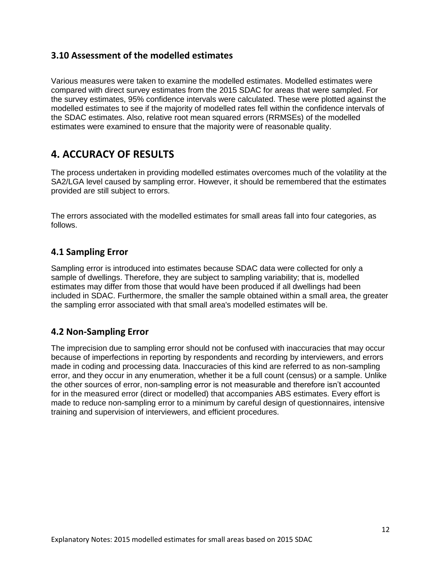#### **3.10 Assessment of the modelled estimates**

Various measures were taken to examine the modelled estimates. Modelled estimates were compared with direct survey estimates from the 2015 SDAC for areas that were sampled. For the survey estimates, 95% confidence intervals were calculated. These were plotted against the modelled estimates to see if the majority of modelled rates fell within the confidence intervals of the SDAC estimates. Also, relative root mean squared errors (RRMSEs) of the modelled estimates were examined to ensure that the majority were of reasonable quality.

### <span id="page-11-0"></span>**4. ACCURACY OF RESULTS**

The process undertaken in providing modelled estimates overcomes much of the volatility at the SA2/LGA level caused by sampling error. However, it should be remembered that the estimates provided are still subject to errors.

The errors associated with the modelled estimates for small areas fall into four categories, as follows.

#### <span id="page-11-1"></span>**4.1 Sampling Error**

Sampling error is introduced into estimates because SDAC data were collected for only a sample of dwellings. Therefore, they are subject to sampling variability; that is, modelled estimates may differ from those that would have been produced if all dwellings had been included in SDAC. Furthermore, the smaller the sample obtained within a small area, the greater the sampling error associated with that small area's modelled estimates will be.

#### <span id="page-11-2"></span>**4.2 Non-Sampling Error**

The imprecision due to sampling error should not be confused with inaccuracies that may occur because of imperfections in reporting by respondents and recording by interviewers, and errors made in coding and processing data. Inaccuracies of this kind are referred to as non-sampling error, and they occur in any enumeration, whether it be a full count (census) or a sample. Unlike the other sources of error, non-sampling error is not measurable and therefore isn't accounted for in the measured error (direct or modelled) that accompanies ABS estimates. Every effort is made to reduce non-sampling error to a minimum by careful design of questionnaires, intensive training and supervision of interviewers, and efficient procedures.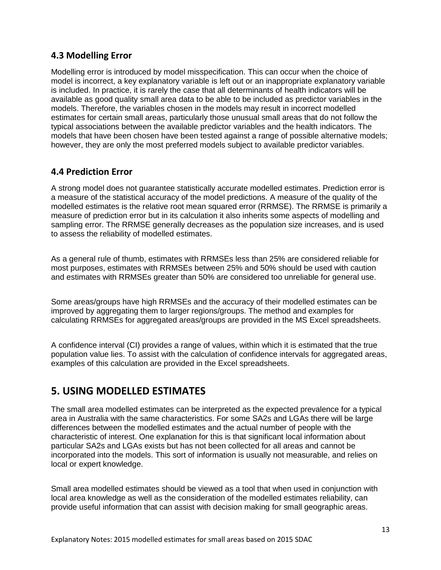#### <span id="page-12-0"></span>**4.3 Modelling Error**

Modelling error is introduced by model misspecification. This can occur when the choice of model is incorrect, a key explanatory variable is left out or an inappropriate explanatory variable is included. In practice, it is rarely the case that all determinants of health indicators will be available as good quality small area data to be able to be included as predictor variables in the models. Therefore, the variables chosen in the models may result in incorrect modelled estimates for certain small areas, particularly those unusual small areas that do not follow the typical associations between the available predictor variables and the health indicators. The models that have been chosen have been tested against a range of possible alternative models; however, they are only the most preferred models subject to available predictor variables.

#### <span id="page-12-1"></span>**4.4 Prediction Error**

A strong model does not guarantee statistically accurate modelled estimates. Prediction error is a measure of the statistical accuracy of the model predictions. A measure of the quality of the modelled estimates is the relative root mean squared error (RRMSE). The RRMSE is primarily a measure of prediction error but in its calculation it also inherits some aspects of modelling and sampling error. The RRMSE generally decreases as the population size increases, and is used to assess the reliability of modelled estimates.

As a general rule of thumb, estimates with RRMSEs less than 25% are considered reliable for most purposes, estimates with RRMSEs between 25% and 50% should be used with caution and estimates with RRMSEs greater than 50% are considered too unreliable for general use.

Some areas/groups have high RRMSEs and the accuracy of their modelled estimates can be improved by aggregating them to larger regions/groups. The method and examples for calculating RRMSEs for aggregated areas/groups are provided in the MS Excel spreadsheets.

A confidence interval (CI) provides a range of values, within which it is estimated that the true population value lies. To assist with the calculation of confidence intervals for aggregated areas, examples of this calculation are provided in the Excel spreadsheets.

### <span id="page-12-2"></span>**5. USING MODELLED ESTIMATES**

The small area modelled estimates can be interpreted as the expected prevalence for a typical area in Australia with the same characteristics. For some SA2s and LGAs there will be large differences between the modelled estimates and the actual number of people with the characteristic of interest. One explanation for this is that significant local information about particular SA2s and LGAs exists but has not been collected for all areas and cannot be incorporated into the models. This sort of information is usually not measurable, and relies on local or expert knowledge.

Small area modelled estimates should be viewed as a tool that when used in conjunction with local area knowledge as well as the consideration of the modelled estimates reliability, can provide useful information that can assist with decision making for small geographic areas.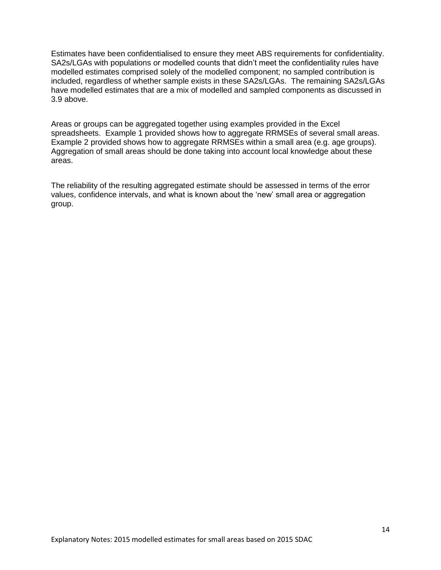Estimates have been confidentialised to ensure they meet ABS requirements for confidentiality. SA2s/LGAs with populations or modelled counts that didn't meet the confidentiality rules have modelled estimates comprised solely of the modelled component; no sampled contribution is included, regardless of whether sample exists in these SA2s/LGAs. The remaining SA2s/LGAs have modelled estimates that are a mix of modelled and sampled components as discussed in 3.9 above.

Areas or groups can be aggregated together using examples provided in the Excel spreadsheets. Example 1 provided shows how to aggregate RRMSEs of several small areas. Example 2 provided shows how to aggregate RRMSEs within a small area (e.g. age groups). Aggregation of small areas should be done taking into account local knowledge about these areas.

The reliability of the resulting aggregated estimate should be assessed in terms of the error values, confidence intervals, and what is known about the 'new' small area or aggregation group.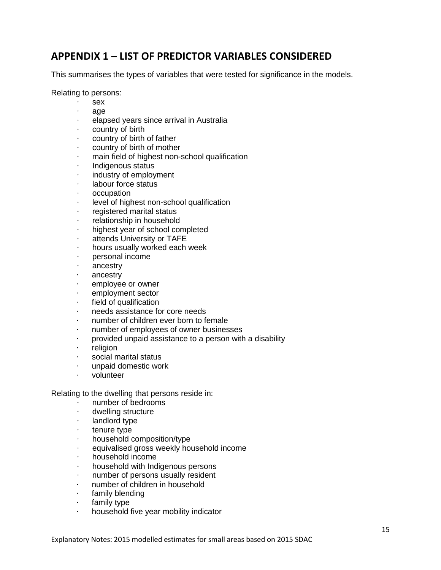### <span id="page-14-0"></span>**APPENDIX 1 – LIST OF PREDICTOR VARIABLES CONSIDERED**

This summarises the types of variables that were tested for significance in the models.

Relating to persons:

- · sex
- · age
- elapsed years since arrival in Australia
- country of birth
- · country of birth of father
- country of birth of mother
- · main field of highest non-school qualification
- · Indigenous status
- industry of employment
- · labour force status
- · occupation
- · level of highest non-school qualification
- · registered marital status
- relationship in household
- · highest year of school completed
- attends University or TAFE
- · hours usually worked each week
- personal income
- ancestry
- · ancestry
- · employee or owner
- · employment sector
- field of qualification
- needs assistance for core needs
- · number of children ever born to female
- · number of employees of owner businesses
- · provided unpaid assistance to a person with a disability
- · religion
- social marital status
- · unpaid domestic work
- · volunteer

Relating to the dwelling that persons reside in:

- number of bedrooms
- · dwelling structure
- · landlord type
- tenure type
- · household composition/type
- equivalised gross weekly household income
- · household income
- · household with Indigenous persons
- · number of persons usually resident
- number of children in household
- · family blending
- · family type
- · household five year mobility indicator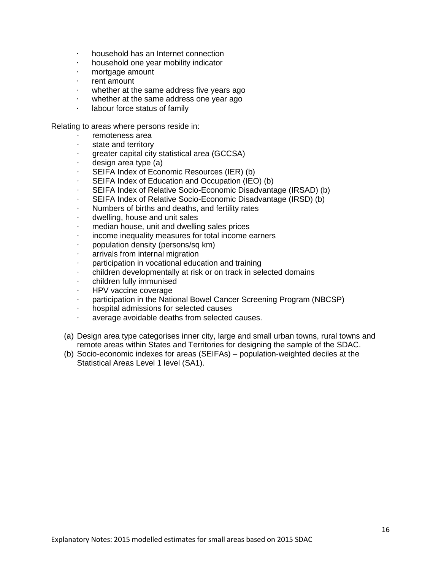- · household has an Internet connection
- · household one year mobility indicator
- mortgage amount
- · rent amount
- · whether at the same address five years ago
- whether at the same address one year ago
- · labour force status of family

Relating to areas where persons reside in:

- · remoteness area
- state and territory
- · greater capital city statistical area (GCCSA)
- design area type (a)
- · SEIFA Index of Economic Resources (IER) (b)
- SEIFA Index of Education and Occupation (IEO) (b)
- SEIFA Index of Relative Socio-Economic Disadvantage (IRSAD) (b)
- · SEIFA Index of Relative Socio-Economic Disadvantage (IRSD) (b)
- · Numbers of births and deaths, and fertility rates
- · dwelling, house and unit sales
- median house, unit and dwelling sales prices
- income inequality measures for total income earners
- · population density (persons/sq km)
- arrivals from internal migration
- participation in vocational education and training
- · children developmentally at risk or on track in selected domains
- children fully immunised
- · HPV vaccine coverage
- · participation in the National Bowel Cancer Screening Program (NBCSP)
- · hospital admissions for selected causes
- average avoidable deaths from selected causes.
- (a) Design area type categorises inner city, large and small urban towns, rural towns and remote areas within States and Territories for designing the sample of the SDAC.
- (b) Socio-economic indexes for areas (SEIFAs) population-weighted deciles at the Statistical Areas Level 1 level (SA1).